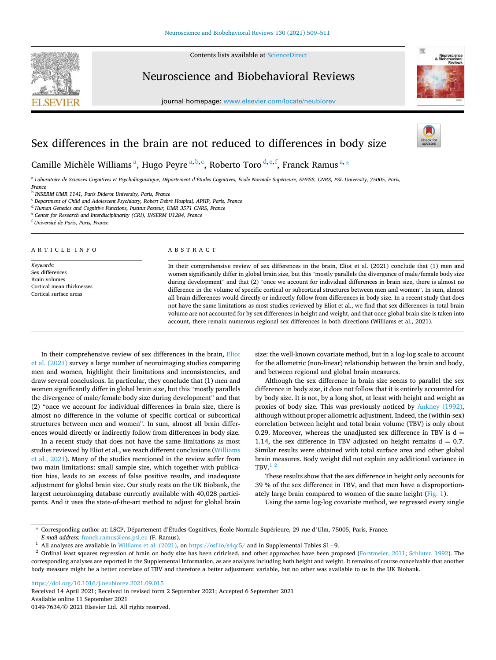Contents lists available at [ScienceDirect](www.sciencedirect.com/science/journal/01497634)



Neuroscience and Biobehavioral Reviews

journal homepage: [www.elsevier.com/locate/neubiorev](https://www.elsevier.com/locate/neubiorev)



# Sex differences in the brain are not reduced to differences in body size

Camille Michèle Williams<sup>a</sup>, Hugo Peyre<sup>a,b,c</sup>, Roberto Toro<sup>d,e,f</sup>, Franck Ramus<sup>a,</sup>\*

a *Laboratoire de Sciences Cognitives et Psycholinguistique, D*´*epartement d'Etudes Cognitives,* ´ *Ecole Normale Sup* ´ ´*erieure, EHESS, CNRS, PSL University, 75005, Paris, France* 

b *INSERM UMR 1141, Paris Diderot University, Paris, France* 

<sup>c</sup> *Department of Child and Adolescent Psychiatry, Robert Debr*´*e Hospital, APHP, Paris, France* 

<sup>d</sup> *Human Genetics and Cognitive Functions, Institut Pasteur, UMR 3571 CNRS, France* 

<sup>e</sup> *Center for Research and Interdisciplinarity (CRI), INSERM U1284, France* 

<sup>f</sup> *Universit*´*e de Paris, Paris, France* 

#### A R T I C L E I N F O

*Keywords:*  Sex differences Brain volumes Cortical mean thicknesses Cortical surface areas

#### ABSTRACT

In their comprehensive review of sex differences in the brain, Eliot et al. (2021) conclude that (1) men and women significantly differ in global brain size, but this "mostly parallels the divergence of male/female body size during development" and that (2) "once we account for individual differences in brain size, there is almost no difference in the volume of specific cortical or subcortical structures between men and women". In sum, almost all brain differences would directly or indirectly follow from differences in body size. In a recent study that does not have the same limitations as most studies reviewed by Eliot et al., we find that sex differences in total brain volume are not accounted for by sex differences in height and weight, and that once global brain size is taken into account, there remain numerous regional sex differences in both directions (Williams et al., 2021).

In their comprehensive review of sex differences in the brain, [Eliot](#page-2-0)  [et al. \(2021\)](#page-2-0) survey a large number of neuroimaging studies comparing men and women, highlight their limitations and inconsistencies, and draw several conclusions. In particular, they conclude that (1) men and women significantly differ in global brain size, but this "mostly parallels the divergence of male/female body size during development" and that (2) "once we account for individual differences in brain size, there is almost no difference in the volume of specific cortical or subcortical structures between men and women". In sum, almost all brain differences would directly or indirectly follow from differences in body size.

In a recent study that does not have the same limitations as most studies reviewed by Eliot et al., we reach different conclusions ([Williams](#page-2-0)  [et al., 2021](#page-2-0)). Many of the studies mentioned in the review suffer from two main limitations: small sample size, which together with publication bias, leads to an excess of false positive results, and inadequate adjustment for global brain size. Our study rests on the UK Biobank, the largest neuroimaging database currently available with 40,028 participants. And it uses the state-of-the-art method to adjust for global brain size: the well-known covariate method, but in a log-log scale to account for the allometric (non-linear) relationship between the brain and body, and between regional and global brain measures.

Although the sex difference in brain size seems to parallel the sex difference in body size, it does not follow that it is entirely accounted for by body size. It is not, by a long shot, at least with height and weight as proxies of body size. This was previously noticed by [Ankney \(1992\)](#page-2-0), although without proper allometric adjustment. Indeed, the (within-sex) correlation between height and total brain volume (TBV) is only about 0.29. Moreover, whereas the unadjusted sex difference in TBV is  $d =$ 1.14, the sex difference in TBV adjusted on height remains  $d = 0.7$ . Similar results were obtained with total surface area and other global brain measures. Body weight did not explain any additional variance in  $TBV<sup>1</sup>$ 

These results show that the sex difference in height only accounts for 39 % of the sex difference in TBV, and that men have a disproportion-ately large brain compared to women of the same height [\(Fig. 1](#page-1-0)).

Using the same log-log covariate method, we regressed every single

<https://doi.org/10.1016/j.neubiorev.2021.09.015>

Available online 11 September 2021 0149-7634/© 2021 Elsevier Ltd. All rights reserved. Received 14 April 2021; Received in revised form 2 September 2021; Accepted 6 September 2021

<sup>\*</sup> Corresponding author at: LSCP, D´epartement d'Etudes Cognitives, ´ Ecole Normale Sup ´ ´erieure, 29 rue d'Ulm, 75005, Paris, France. *E-mail address:* [franck.ramus@ens.psl.eu](mailto:franck.ramus@ens.psl.eu) (F. Ramus).

<sup>1</sup>All analyses are available in [Williams et al. \(2021\)](#page-2-0), on <https://osf.io/s4qc5/> and in Supplemental Tables S1−9.

<sup>&</sup>lt;sup>2</sup> Ordinal least squares regression of brain on body size has been criticised, and other approaches have been proposed [\(Forstmeier, 2011;](#page-2-0) [Schluter, 1992](#page-2-0)). The corresponding analyses are reported in the Supplemental Information, as are analyses including both height and weight. It remains of course conceivable that another body measure might be a better correlate of TBV and therefore a better adjustment variable, but no other was available to us in the UK Biobank.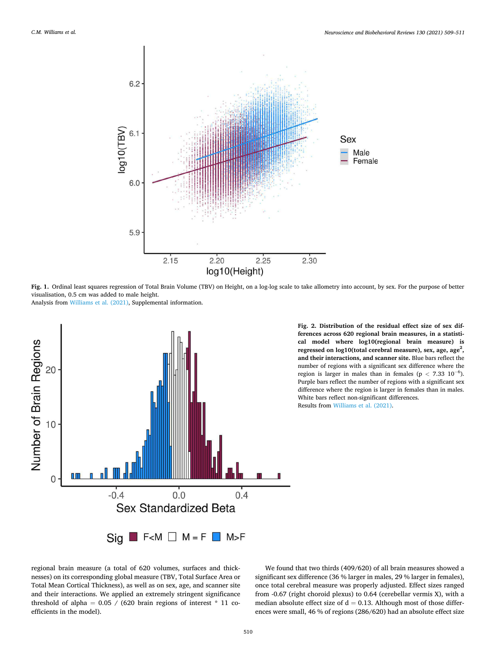<span id="page-1-0"></span>

**Fig. 1.** Ordinal least squares regression of Total Brain Volume (TBV) on Height, on a log-log scale to take allometry into account, by sex. For the purpose of better visualisation, 0.5 cm was added to male height.

Analysis from [Williams et al. \(2021\)](#page-2-0), Supplemental information.



**Fig. 2. Distribution of the residual effect size of sex differences across 620 regional brain measures, in a statistical model where log10(regional brain measure) is**  regressed on log10(total cerebral measure), sex, age, age<sup>2</sup>, **and their interactions, and scanner site.** Blue bars reflect the number of regions with a significant sex difference where the region is larger in males than in females ( $p < 7.33$  10<sup>-6</sup>). Purple bars reflect the number of regions with a significant sex difference where the region is larger in females than in males. White bars reflect non-significant differences. Results from [Williams et al. \(2021\).](#page-2-0)

regional brain measure (a total of 620 volumes, surfaces and thicknesses) on its corresponding global measure (TBV, Total Surface Area or Total Mean Cortical Thickness), as well as on sex, age, and scanner site and their interactions. We applied an extremely stringent significance threshold of alpha =  $0.05 / (620 \text{ brain regions of interest} * 11 \text{ co-}$ efficients in the model).

We found that two thirds (409/620) of all brain measures showed a significant sex difference (36 % larger in males, 29 % larger in females), once total cerebral measure was properly adjusted. Effect sizes ranged from -0.67 (right choroid plexus) to 0.64 (cerebellar vermis X), with a median absolute effect size of  $d = 0.13$ . Although most of those differences were small, 46 % of regions (286/620) had an absolute effect size